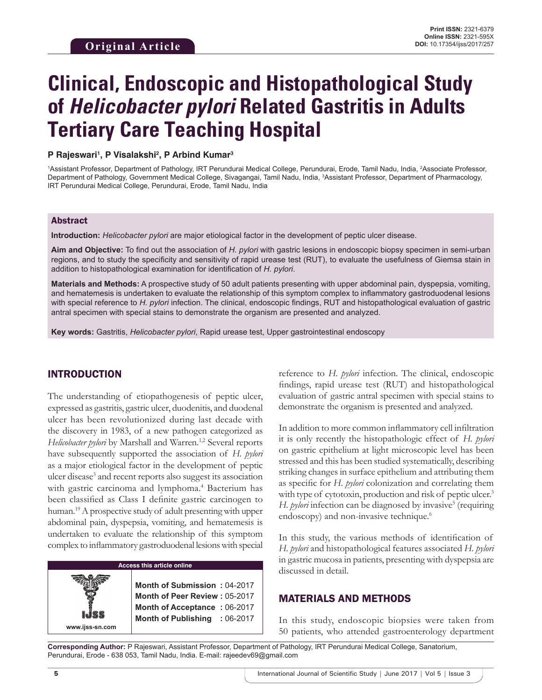# **Clinical, Endoscopic and Histopathological Study of** *Helicobacter pylori* **Related Gastritis in Adults Tertiary Care Teaching Hospital**

#### **P Rajeswari1 , P Visalakshi2 , P Arbind Kumar3**

<sup>1</sup>Assistant Professor, Department of Pathology, IRT Perundurai Medical College, Perundurai, Erode, Tamil Nadu, India, <sup>2</sup>Associate Professor, Department of Pathology, Government Medical College, Sivagangai, Tamil Nadu, India, 3 Assistant Professor, Department of Pharmacology, IRT Perundurai Medical College, Perundurai, Erode, Tamil Nadu, India

#### Abstract

**Introduction:** *Helicobacter pylori* are major etiological factor in the development of peptic ulcer disease.

Aim and Objective: To find out the association of *H. pylori* with gastric lesions in endoscopic biopsy specimen in semi-urban regions, and to study the specificity and sensitivity of rapid urease test (RUT), to evaluate the usefulness of Giemsa stain in addition to histopathological examination for identification of *H. pylori*.

**Materials and Methods:** A prospective study of 50 adult patients presenting with upper abdominal pain, dyspepsia, vomiting, and hematemesis is undertaken to evaluate the relationship of this symptom complex to inflammatory gastroduodenal lesions with special reference to *H. pylori* infection. The clinical, endoscopic findings, RUT and histopathological evaluation of gastric antral specimen with special stains to demonstrate the organism are presented and analyzed.

**Key words:** Gastritis, *Helicobacter pylori*, Rapid urease test, Upper gastrointestinal endoscopy

## INTRODUCTION

The understanding of etiopathogenesis of peptic ulcer, expressed as gastritis, gastric ulcer, duodenitis, and duodenal ulcer has been revolutionized during last decade with the discovery in 1983, of a new pathogen categorized as *Helicobacter pylori* by Marshall and Warren.<sup>1,2</sup> Several reports have subsequently supported the association of *H. pylori* as a major etiological factor in the development of peptic ulcer disease<sup>3</sup> and recent reports also suggest its association with gastric carcinoma and lymphoma.<sup>4</sup> Bacterium has been classified as Class I definite gastric carcinogen to human.19 A prospective study of adult presenting with upper abdominal pain, dyspepsia, vomiting, and hematemesis is undertaken to evaluate the relationship of this symptom complex to inflammatory gastroduodenal lesions with special



reference to *H. pylori* infection. The clinical, endoscopic findings, rapid urease test (RUT) and histopathological evaluation of gastric antral specimen with special stains to demonstrate the organism is presented and analyzed.

In addition to more common inflammatory cell infiltration it is only recently the histopathologic effect of *H. pylori* on gastric epithelium at light microscopic level has been stressed and this has been studied systematically, describing striking changes in surface epithelium and attributing them as specific for *H. pylori* colonization and correlating them with type of cytotoxin, production and risk of peptic ulcer.<sup>3</sup> H. pylori infection can be diagnosed by invasive<sup>5</sup> (requiring endoscopy) and non-invasive technique.<sup>6</sup>

In this study, the various methods of identification of *H. pylori* and histopathological features associated *H. pylori* in gastric mucosa in patients, presenting with dyspepsia are discussed in detail.

## MATERIALS AND METHODS

In this study, endoscopic biopsies were taken from 50 patients, who attended gastroenterology department

**Corresponding Author:** P Rajeswari, Assistant Professor, Department of Pathology, IRT Perundurai Medical College, Sanatorium, Perundurai, Erode - 638 053, Tamil Nadu, India. E-mail: rajeedev69@gmail.com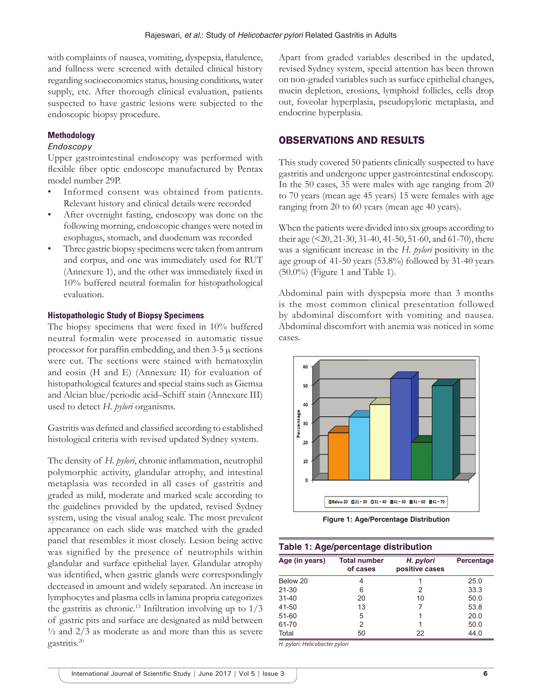with complaints of nausea, vomiting, dyspepsia, flatulence, and fullness were screened with detailed clinical history regarding socioeconomics status, housing conditions, water supply, etc. After thorough clinical evaluation, patients suspected to have gastric lesions were subjected to the endoscopic biopsy procedure.

## **Methodology**

#### *Endoscopy*

Upper gastrointestinal endoscopy was performed with flexible fiber optic endoscope manufactured by Pentax model number 29P.

- Informed consent was obtained from patients. Relevant history and clinical details were recorded
- After overnight fasting, endoscopy was done on the following morning, endoscopic changes were noted in esophagus, stomach, and duodenum was recorded
- Three gastric biopsy specimens were taken from antrum and corpus, and one was immediately used for RUT (Annexure 1), and the other was immediately fixed in 10% buffered neutral formalin for histopathological evaluation.

#### **Histopathologic Study of Biopsy Specimens**

The biopsy specimens that were fixed in 10% buffered neutral formalin were processed in automatic tissue processor for paraffin embedding, and then  $3-5 \mu$  sections were cut. The sections were stained with hematoxylin and eosin (H and E) (Annexure II) for evaluation of histopathological features and special stains such as Giemsa and Alcian blue/periodic acid–Schiff stain (Annexure III) used to detect *H. pylori* organisms.

Gastritis was defined and classified according to established histological criteria with revised updated Sydney system.

The density of *H. pylori*, chronic inflammation, neutrophil polymorphic activity, glandular atrophy, and intestinal metaplasia was recorded in all cases of gastritis and graded as mild, moderate and marked scale according to the guidelines provided by the updated, revised Sydney system, using the visual analog scale. The most prevalent appearance on each slide was matched with the graded panel that resembles it most closely. Lesion being active was signified by the presence of neutrophils within glandular and surface epithelial layer. Glandular atrophy was identified, when gastric glands were correspondingly decreased in amount and widely separated. An increase in lymphocytes and plasma cells in lamina propria categorizes the gastritis as chronic.<sup>13</sup> Infiltration involving up to  $1/3$ of gastric pits and surface are designated as mild between  $\frac{1}{2}$  and  $\frac{2}{3}$  as moderate as and more than this as severe gastritis.20

Apart from graded variables described in the updated, revised Sydney system, special attention has been thrown on non-graded variables such as surface epithelial changes, mucin depletion, erosions, lymphoid follicles, cells drop out, foveolar hyperplasia, pseudopyloric metaplasia, and endocrine hyperplasia.

## OBSERVATIONS AND RESULTS

This study covered 50 patients clinically suspected to have gastritis and undergone upper gastrointestinal endoscopy. In the 50 cases, 35 were males with age ranging from 20 to 70 years (mean age 45 years) 15 were females with age ranging from 20 to 60 years (mean age 40 years).

When the patients were divided into six groups according to their age (<20, 21-30, 31-40, 41-50, 51-60, and 61-70), there was a significant increase in the *H. pylori* positivity in the age group of 41-50 years (53.8%) followed by 31-40 years (50.0%) (Figure 1 and Table 1).

Abdominal pain with dyspepsia more than 3 months is the most common clinical presentation followed by abdominal discomfort with vomiting and nausea. Abdominal discomfort with anemia was noticed in some cases.



**Figure 1: Age/Percentage Distribution**

| Table 1: Age/percentage distribution |                                 |                             |            |  |
|--------------------------------------|---------------------------------|-----------------------------|------------|--|
| Age (in years)                       | <b>Total number</b><br>of cases | H. pylori<br>positive cases | Percentage |  |
| Below 20                             | 4                               |                             | 25.0       |  |
| 21-30                                | 6                               | 2                           | 33.3       |  |
| $31 - 40$                            | 20                              | 10                          | 50.0       |  |
| 41-50                                | 13                              |                             | 53.8       |  |
| 51-60                                | 5                               |                             | 20.0       |  |
| 61-70                                | 2                               |                             | 50.0       |  |
| Total                                | 50                              | 22                          | 44.0       |  |

*H. pylori: Helicobacter pylori*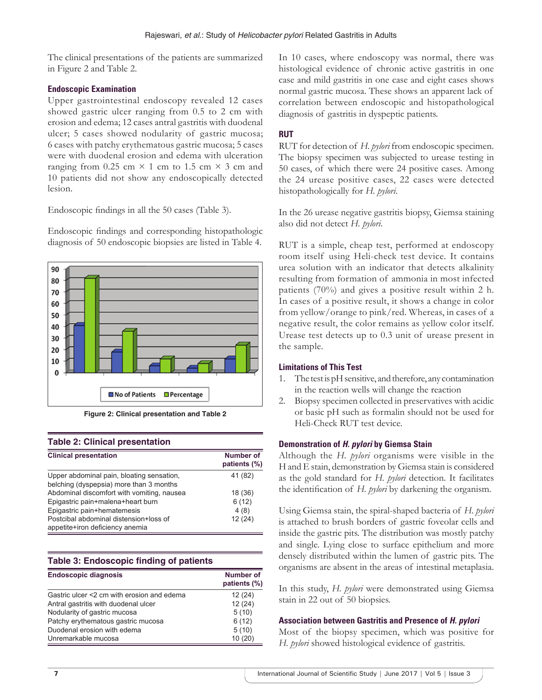The clinical presentations of the patients are summarized in Figure 2 and Table 2.

## **Endoscopic Examination**

Upper gastrointestinal endoscopy revealed 12 cases showed gastric ulcer ranging from 0.5 to 2 cm with erosion and edema; 12 cases antral gastritis with duodenal ulcer; 5 cases showed nodularity of gastric mucosa; 6 cases with patchy erythematous gastric mucosa; 5 cases were with duodenal erosion and edema with ulceration ranging from 0.25 cm  $\times$  1 cm to 1.5 cm  $\times$  3 cm and 10 patients did not show any endoscopically detected lesion.

Endoscopic findings in all the 50 cases (Table 3).

Endoscopic findings and corresponding histopathologic diagnosis of 50 endoscopic biopsies are listed in Table 4.



**Figure 2: Clinical presentation and Table 2** 

#### **Table 2: Clinical presentation**

| <b>Clinical presentation</b>                                                         | <b>Number of</b><br>patients (%) |
|--------------------------------------------------------------------------------------|----------------------------------|
| Upper abdominal pain, bloating sensation,<br>belching (dyspepsia) more than 3 months | 41 (82)                          |
| Abdominal discomfort with vomiting, nausea                                           | 18 (36)                          |
| Epigastric pain+malena+heart burn                                                    | 6(12)                            |
| Epigastric pain+hematemesis                                                          | 4(8)                             |
| Postcibal abdominal distension+loss of<br>appetite+iron deficiency anemia            | 12(24)                           |

#### **Table 3: Endoscopic finding of patients**

| <b>Endoscopic diagnosis</b>                | Number of<br>patients (%) |
|--------------------------------------------|---------------------------|
| Gastric ulcer <2 cm with erosion and edema | 12(24)                    |
| Antral gastritis with duodenal ulcer       | 12(24)                    |
| Nodularity of gastric mucosa               | 5(10)                     |
| Patchy erythematous gastric mucosa         | 6(12)                     |
| Duodenal erosion with edema                | 5(10)                     |
| Unremarkable mucosa                        | 10(20)                    |

In 10 cases, where endoscopy was normal, there was histological evidence of chronic active gastritis in one case and mild gastritis in one case and eight cases shows normal gastric mucosa. These shows an apparent lack of correlation between endoscopic and histopathological diagnosis of gastritis in dyspeptic patients.

## **RUT**

RUT for detection of *H. pylori* from endoscopic specimen. The biopsy specimen was subjected to urease testing in 50 cases, of which there were 24 positive cases. Among the 24 urease positive cases, 22 cases were detected histopathologically for *H. pylori*.

In the 26 urease negative gastritis biopsy, Giemsa staining also did not detect *H. pylori*.

RUT is a simple, cheap test, performed at endoscopy room itself using Heli-check test device. It contains urea solution with an indicator that detects alkalinity resulting from formation of ammonia in most infected patients (70%) and gives a positive result within 2 h. In cases of a positive result, it shows a change in color from yellow/orange to pink/red. Whereas, in cases of a negative result, the color remains as yellow color itself. Urease test detects up to 0.3 unit of urease present in the sample.

#### **Limitations of This Test**

- 1. The test is pH sensitive, and therefore, any contamination in the reaction wells will change the reaction
- 2. Biopsy specimen collected in preservatives with acidic or basic pH such as formalin should not be used for Heli-Check RUT test device.

#### **Demonstration of** *H. pylori* **by Giemsa Stain**

Although the *H. pylori* organisms were visible in the H and E stain, demonstration by Giemsa stain is considered as the gold standard for *H. pylori* detection. It facilitates the identification of *H. pylori* by darkening the organism.

Using Giemsa stain, the spiral-shaped bacteria of *H. pylori* is attached to brush borders of gastric foveolar cells and inside the gastric pits. The distribution was mostly patchy and single. Lying close to surface epithelium and more densely distributed within the lumen of gastric pits. The organisms are absent in the areas of intestinal metaplasia.

In this study, *H. pylori* were demonstrated using Giemsa stain in 22 out of 50 biopsies.

#### **Association between Gastritis and Presence of** *H. pylori*

Most of the biopsy specimen, which was positive for *H. pylori* showed histological evidence of gastritis.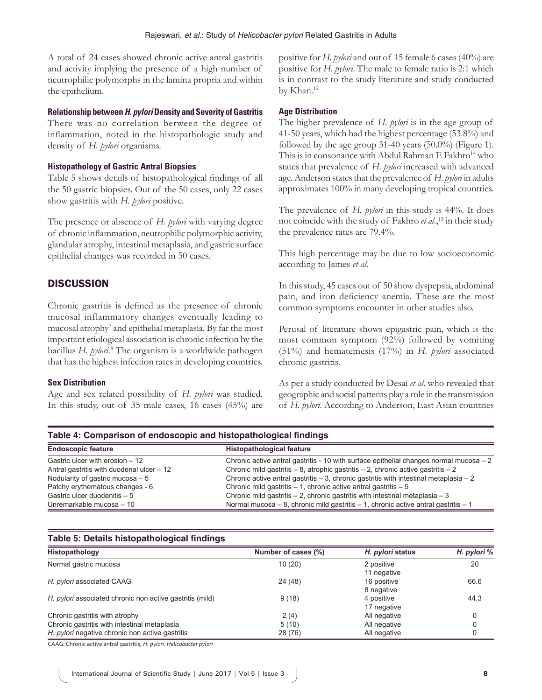A total of 24 cases showed chronic active antral gastritis and activity implying the presence of a high number of neutrophilic polymorphs in the lamina propria and within the epithelium.

#### **Relationship between** *H. pylori* **Density and Severity of Gastritis**

There was no correlation between the degree of inflammation, noted in the histopathologic study and density of *H. pylori* organisms.

#### **Histopathology of Gastric Antral Biopsies**

Table 5 shows details of histopathological findings of all the 50 gastric biopsies. Out of the 50 cases, only 22 cases show gastritis with *H. pylori* positive.

The presence or absence of *H. pylori* with varying degree of chronic inflammation, neutrophilic polymorphic activity, glandular atrophy, intestinal metaplasia, and gastric surface epithelial changes was recorded in 50 cases.

## **DISCUSSION**

Chronic gastritis is defined as the presence of chronic mucosal inflammatory changes eventually leading to mucosal atrophy<sup>7</sup> and epithelial metaplasia. By far the most important etiological association is chronic infection by the bacillus *H. pylori.*<sup>8</sup> The organism is a worldwide pathogen that has the highest infection rates in developing countries.

#### **Sex Distribution**

Age and sex related possibility of *H. pylori* was studied. In this study, out of 35 male cases, 16 cases (45%) are positive for *H. pylori* and out of 15 female 6 cases (40%) are positive for *H. pylori*. The male to female ratio is 2:1 which is in contrast to the study literature and study conducted by Khan.12

#### **Age Distribution**

The higher prevalence of *H. pylori* is in the age group of 41-50 years, which had the highest percentage (53.8%) and followed by the age group 31-40 years (50.0%) (Figure 1). This is in consonance with Abdul Rahman E Fakhro<sup>14</sup> who states that prevalence of *H. pylori* increased with advanced age. Anderson states that the prevalence of *H. pylori* in adults approximates 100% in many developing tropical countries.

The prevalence of *H. pylori* in this study is 44%. It does not coincide with the study of Fakhro *et al*.,15 in their study the prevalence rates are 79.4%.

This high percentage may be due to low socioeconomic according to James *et al*.

In this study, 45 cases out of 50 show dyspepsia, abdominal pain, and iron deficiency anemia. These are the most common symptoms encounter in other studies also.

Perusal of literature shows epigastric pain, which is the most common symptom (92%) followed by vomiting (51%) and hematemesis (17%) in *H. pylori* associated chronic gastritis.

As per a study conducted by Desai *et al*. who revealed that geographic and social patterns play a role in the transmission of *H. pylori*. According to Anderson, East Asian countries

| Table 4: Comparison of endoscopic and histopathological findings |                                                                                          |  |  |
|------------------------------------------------------------------|------------------------------------------------------------------------------------------|--|--|
| <b>Endoscopic feature</b>                                        | <b>Histopathological feature</b>                                                         |  |  |
| Gastric ulcer with erosion - 12                                  | Chronic active antral gastritis - 10 with surface epithelial changes normal mucosa $-2$  |  |  |
| Antral gastritis with duodenal ulcer - 12                        | Chronic mild gastritis $-8$ , atrophic gastritis $-2$ , chronic active gastritis $-2$    |  |  |
| Nodularity of gastric mucosa $-5$                                | Chronic active antral gastritis $-3$ , chronic gastritis with intestinal metaplasia $-2$ |  |  |
| Patchy erythematous changes - 6                                  | Chronic mild gastritis $-1$ , chronic active antral gastritis $-5$                       |  |  |
| Gastric ulcer duodenitis - 5                                     | Chronic mild gastritis $-2$ , chronic gastritis with intestinal metaplasia $-3$          |  |  |
| Unremarkable mucosa - 10                                         | Normal mucosa – 8, chronic mild gastritis – 1, chronic active antral gastritis – 1       |  |  |

#### **Table 5: Details histopathological findings**

| Histopathology                                           | Number of cases (%) | H. pylori status          | H. pylori % |
|----------------------------------------------------------|---------------------|---------------------------|-------------|
| Normal gastric mucosa                                    | 10(20)              | 2 positive<br>11 negative | 20          |
| H. pylori associated CAAG                                | 24 (48)             | 16 positive<br>8 negative | 66.6        |
| H. pylori associated chronic non active gastritis (mild) | 9(18)               | 4 positive<br>17 negative | 44.3        |
| Chronic gastritis with atrophy                           | 2(4)                | All negative              |             |
| Chronic gastritis with intestinal metaplasia             | 5(10)               | All negative              |             |
| H. pylori negative chronic non active gastritis          | 28 (76)             | All negative              | 0           |

CAAG: Chronic active antral gastritis, *H. pylori: Helicobacter pylori*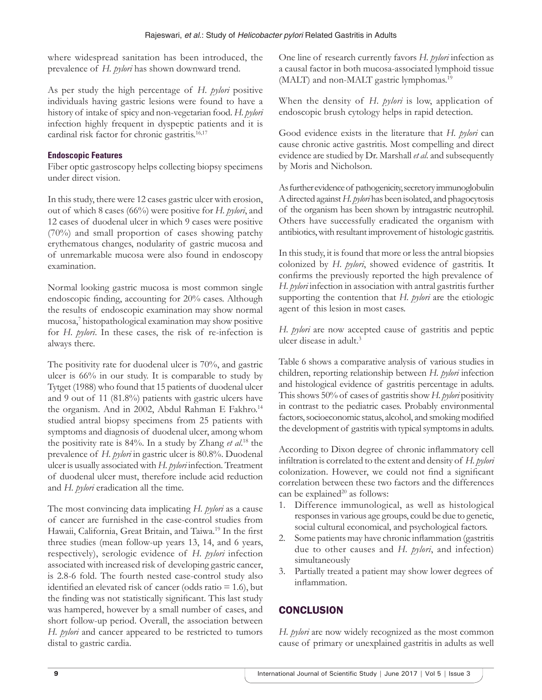where widespread sanitation has been introduced, the prevalence of *H. pylori* has shown downward trend.

As per study the high percentage of *H. pylori* positive individuals having gastric lesions were found to have a history of intake of spicy and non-vegetarian food. *H. pylori* infection highly frequent in dyspeptic patients and it is cardinal risk factor for chronic gastritis.16,17

## **Endoscopic Features**

Fiber optic gastroscopy helps collecting biopsy specimens under direct vision.

In this study, there were 12 cases gastric ulcer with erosion, out of which 8 cases (66%) were positive for *H. pylori*, and 12 cases of duodenal ulcer in which 9 cases were positive (70%) and small proportion of cases showing patchy erythematous changes, nodularity of gastric mucosa and of unremarkable mucosa were also found in endoscopy examination.

Normal looking gastric mucosa is most common single endoscopic finding, accounting for 20% cases. Although the results of endoscopic examination may show normal mucosa,7 histopathological examination may show positive for *H. pylori*. In these cases, the risk of re-infection is always there.

The positivity rate for duodenal ulcer is 70%, and gastric ulcer is 66% in our study. It is comparable to study by Tytget (1988) who found that 15 patients of duodenal ulcer and 9 out of 11 (81.8%) patients with gastric ulcers have the organism. And in 2002, Abdul Rahman E Fakhro.<sup>14</sup> studied antral biopsy specimens from 25 patients with symptoms and diagnosis of duodenal ulcer, among whom the positivity rate is 84%. In a study by Zhang *et al*. 18 the prevalence of *H. pylori* in gastric ulcer is 80.8%. Duodenal ulcer is usually associated with *H. pylori* infection. Treatment of duodenal ulcer must, therefore include acid reduction and *H. pylori* eradication all the time.

The most convincing data implicating *H. pylori* as a cause of cancer are furnished in the case-control studies from Hawaii, California, Great Britain, and Taiwa.<sup>19</sup> In the first three studies (mean follow-up years 13, 14, and 6 years, respectively), serologic evidence of *H. pylori* infection associated with increased risk of developing gastric cancer, is 2.8-6 fold. The fourth nested case-control study also identified an elevated risk of cancer (odds ratio  $= 1.6$ ), but the finding was not statistically significant. This last study was hampered, however by a small number of cases, and short follow-up period. Overall, the association between *H. pylori* and cancer appeared to be restricted to tumors distal to gastric cardia.

One line of research currently favors *H. pylori* infection as a causal factor in both mucosa-associated lymphoid tissue (MALT) and non-MALT gastric lymphomas.<sup>19</sup>

When the density of *H. pylori* is low, application of endoscopic brush cytology helps in rapid detection.

Good evidence exists in the literature that *H. pylori* can cause chronic active gastritis. Most compelling and direct evidence are studied by Dr. Marshall *et al*. and subsequently by Moris and Nicholson.

As further evidence of pathogenicity, secretory immunoglobulin A directed against *H. pylori* has been isolated, and phagocytosis of the organism has been shown by intragastric neutrophil. Others have successfully eradicated the organism with antibiotics, with resultant improvement of histologic gastritis.

In this study, it is found that more or less the antral biopsies colonized by *H. pylori*, showed evidence of gastritis. It confirms the previously reported the high prevalence of *H. pylori* infection in association with antral gastritis further supporting the contention that *H. pylori* are the etiologic agent of this lesion in most cases.

*H. pylori* are now accepted cause of gastritis and peptic ulcer disease in adult.3

Table 6 shows a comparative analysis of various studies in children, reporting relationship between *H. pylori* infection and histological evidence of gastritis percentage in adults. This shows 50% of cases of gastritis show *H. pylori* positivity in contrast to the pediatric cases. Probably environmental factors, socioeconomic status, alcohol, and smoking modified the development of gastritis with typical symptoms in adults.

According to Dixon degree of chronic inflammatory cell infiltration is correlated to the extent and density of *H. pylori* colonization. However, we could not find a significant correlation between these two factors and the differences can be explained $20$  as follows:

- 1. Difference immunological, as well as histological responses in various age groups, could be due to genetic, social cultural economical, and psychological factors.
- 2. Some patients may have chronic inflammation (gastritis) due to other causes and *H. pylori*, and infection) simultaneously
- 3. Partially treated a patient may show lower degrees of inflammation.

## **CONCLUSION**

*H. pylori* are now widely recognized as the most common cause of primary or unexplained gastritis in adults as well